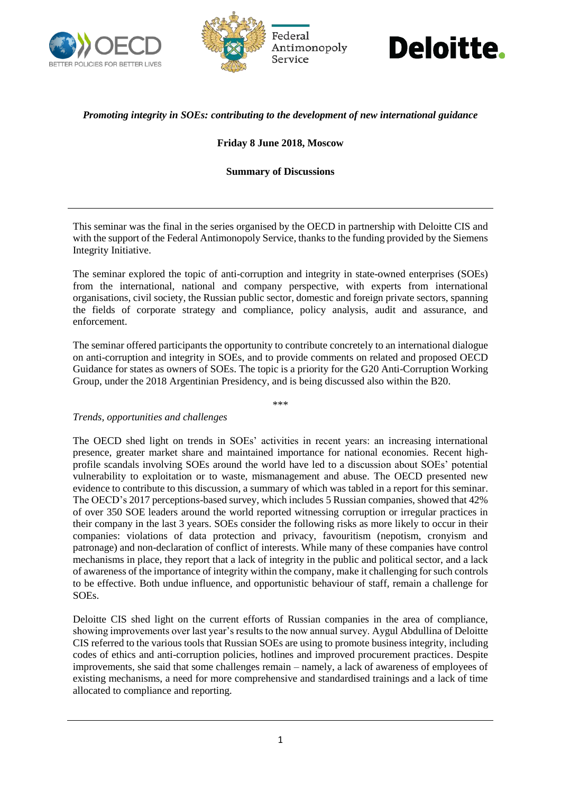





# *Promoting integrity in SOEs: contributing to the development of new international guidance*

### **Friday 8 June 2018, Moscow**

### **Summary of Discussions**

This seminar was the final in the series organised by the OECD in partnership with Deloitte CIS and with the support of the Federal Antimonopoly Service, thanks to the funding provided by the Siemens Integrity Initiative.

The seminar explored the topic of anti-corruption and integrity in state-owned enterprises (SOEs) from the international, national and company perspective, with experts from international organisations, civil society, the Russian public sector, domestic and foreign private sectors, spanning the fields of corporate strategy and compliance, policy analysis, audit and assurance, and enforcement.

The seminar offered participants the opportunity to contribute concretely to an international dialogue on anti-corruption and integrity in SOEs, and to provide comments on related and proposed OECD Guidance for states as owners of SOEs. The topic is a priority for the G20 Anti-Corruption Working Group, under the 2018 Argentinian Presidency, and is being discussed also within the B20.

\*\*\*

#### *Trends, opportunities and challenges*

The OECD shed light on trends in SOEs' activities in recent years: an increasing international presence, greater market share and maintained importance for national economies. Recent highprofile scandals involving SOEs around the world have led to a discussion about SOEs' potential vulnerability to exploitation or to waste, mismanagement and abuse. The OECD presented new evidence to contribute to this discussion, a summary of which was tabled in a report for this seminar. The OECD's 2017 perceptions-based survey, which includes 5 Russian companies, showed that 42% of over 350 SOE leaders around the world reported witnessing corruption or irregular practices in their company in the last 3 years. SOEs consider the following risks as more likely to occur in their companies: violations of data protection and privacy, favouritism (nepotism, cronyism and patronage) and non-declaration of conflict of interests. While many of these companies have control mechanisms in place, they report that a lack of integrity in the public and political sector, and a lack of awareness of the importance of integrity within the company, make it challenging for such controls to be effective. Both undue influence, and opportunistic behaviour of staff, remain a challenge for SOEs.

Deloitte CIS shed light on the current efforts of Russian companies in the area of compliance, showing improvements over last year's results to the now annual survey. Aygul Abdullina of Deloitte CIS referred to the various tools that Russian SOEs are using to promote business integrity, including codes of ethics and anti-corruption policies, hotlines and improved procurement practices. Despite improvements, she said that some challenges remain – namely, a lack of awareness of employees of existing mechanisms, a need for more comprehensive and standardised trainings and a lack of time allocated to compliance and reporting.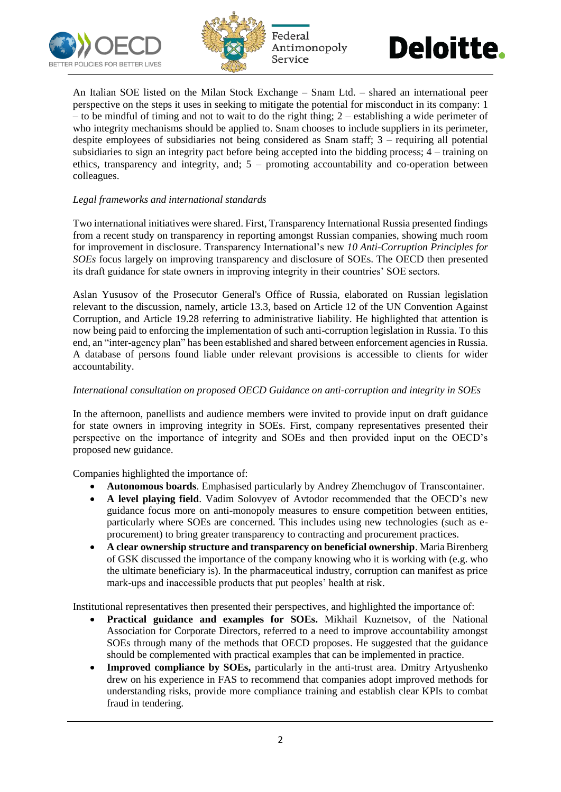





An Italian SOE listed on the Milan Stock Exchange – Snam Ltd. – shared an international peer perspective on the steps it uses in seeking to mitigate the potential for misconduct in its company: 1 – to be mindful of timing and not to wait to do the right thing; 2 – establishing a wide perimeter of who integrity mechanisms should be applied to. Snam chooses to include suppliers in its perimeter, despite employees of subsidiaries not being considered as Snam staff;  $3$  – requiring all potential subsidiaries to sign an integrity pact before being accepted into the bidding process; 4 – training on ethics, transparency and integrity, and; 5 – promoting accountability and co-operation between colleagues.

# *Legal frameworks and international standards*

Two international initiatives were shared. First, Transparency International Russia presented findings from a recent study on transparency in reporting amongst Russian companies, showing much room for improvement in disclosure. Transparency International's new *10 Anti-Corruption Principles for SOEs* focus largely on improving transparency and disclosure of SOEs. The OECD then presented its draft guidance for state owners in improving integrity in their countries' SOE sectors.

Aslan Yususov of the Prosecutor General's Office of Russia, elaborated on Russian legislation relevant to the discussion, namely, article 13.3, based on Article 12 of the UN Convention Against Corruption, and Article 19.28 referring to administrative liability. He highlighted that attention is now being paid to enforcing the implementation of such anti-corruption legislation in Russia. To this end, an "inter-agency plan" has been established and shared between enforcement agencies in Russia. A database of persons found liable under relevant provisions is accessible to clients for wider accountability.

### *International consultation on proposed OECD Guidance on anti-corruption and integrity in SOEs*

In the afternoon, panellists and audience members were invited to provide input on draft guidance for state owners in improving integrity in SOEs. First, company representatives presented their perspective on the importance of integrity and SOEs and then provided input on the OECD's proposed new guidance.

Companies highlighted the importance of:

- **Autonomous boards**. Emphasised particularly by Andrey Zhemchugov of Transcontainer.
- **A level playing field**. Vadim Solovyev of Avtodor recommended that the OECD's new guidance focus more on anti-monopoly measures to ensure competition between entities, particularly where SOEs are concerned. This includes using new technologies (such as eprocurement) to bring greater transparency to contracting and procurement practices.
- **A clear ownership structure and transparency on beneficial ownership**. Maria Birenberg of GSK discussed the importance of the company knowing who it is working with (e.g. who the ultimate beneficiary is). In the pharmaceutical industry, corruption can manifest as price mark-ups and inaccessible products that put peoples' health at risk.

Institutional representatives then presented their perspectives, and highlighted the importance of:

- **Practical guidance and examples for SOEs.** Mikhail Kuznetsov, of the National Association for Corporate Directors, referred to a need to improve accountability amongst SOEs through many of the methods that OECD proposes. He suggested that the guidance should be complemented with practical examples that can be implemented in practice.
- **Improved compliance by SOEs,** particularly in the anti-trust area. Dmitry Artyushenko drew on his experience in FAS to recommend that companies adopt improved methods for understanding risks, provide more compliance training and establish clear KPIs to combat fraud in tendering.